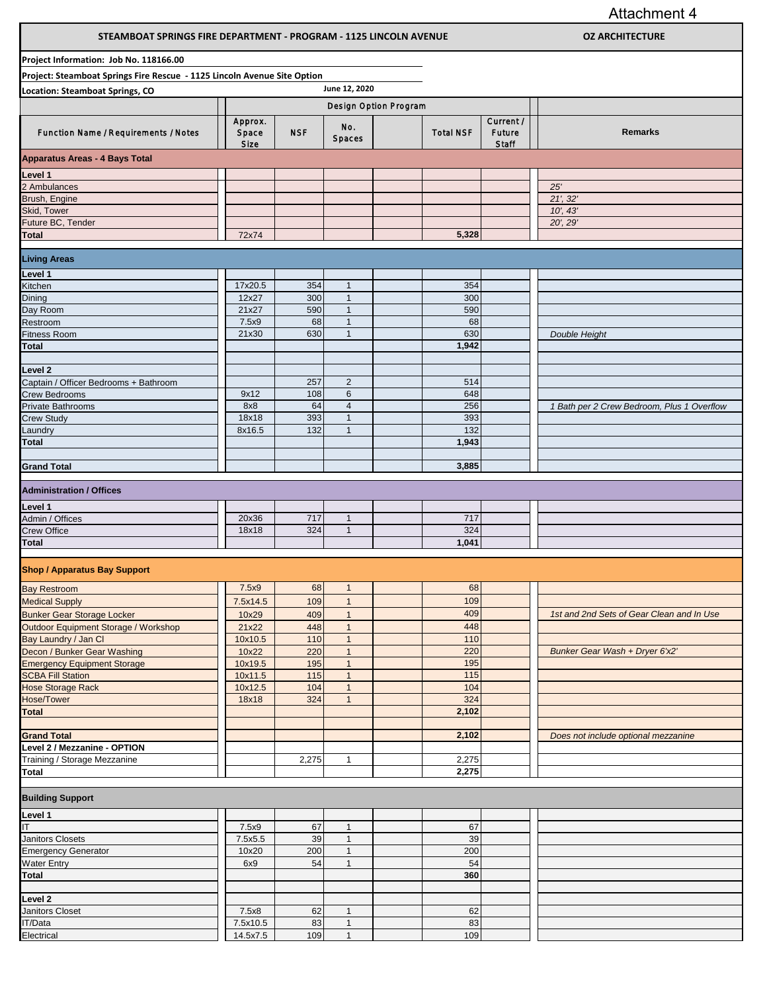Attachment 4

| STEAMBOAT SPRINGS FIRE DEPARTMENT - PROGRAM - 1125 LINCOLN AVENUE        |                          |            |                              |                       |                              | <b>OZ ARCHITECTURE</b>                     |
|--------------------------------------------------------------------------|--------------------------|------------|------------------------------|-----------------------|------------------------------|--------------------------------------------|
| Project Information: Job No. 118166.00                                   |                          |            |                              |                       |                              |                                            |
| Project: Steamboat Springs Fire Rescue - 1125 Lincoln Avenue Site Option |                          |            |                              |                       |                              |                                            |
| <b>Location: Steamboat Springs, CO</b>                                   |                          |            | June 12, 2020                |                       |                              |                                            |
|                                                                          |                          |            |                              | Design Option Program |                              |                                            |
| Function Name / Requirements / Notes                                     | Approx.<br>Space<br>Size | <b>NSF</b> | No.<br>Spaces                | <b>Total NSF</b>      | Current /<br>Future<br>Staff | <b>Remarks</b>                             |
| <b>Apparatus Areas - 4 Bays Total</b>                                    |                          |            |                              |                       |                              |                                            |
| Level 1                                                                  |                          |            |                              |                       |                              |                                            |
| 2 Ambulances                                                             |                          |            |                              |                       |                              | 25'                                        |
| Brush, Engine                                                            |                          |            |                              |                       |                              | 21', 32'                                   |
| Skid, Tower                                                              |                          |            |                              |                       |                              | 10', 43'                                   |
| Future BC, Tender                                                        |                          |            |                              |                       |                              | 20', 29'                                   |
| Total                                                                    | 72x74                    |            |                              | 5,328                 |                              |                                            |
| <b>Living Areas</b>                                                      |                          |            |                              |                       |                              |                                            |
| Level 1                                                                  |                          |            |                              |                       |                              |                                            |
| Kitchen                                                                  | 17x20.5                  | 354        | $\mathbf{1}$                 | 354                   |                              |                                            |
| Dining                                                                   | 12x27                    | 300        | $\mathbf{1}$                 | 300                   |                              |                                            |
| Day Room                                                                 | 21x27                    | 590        | $\mathbf{1}$                 | 590                   |                              |                                            |
| Restroom                                                                 | 7.5x9                    | 68         | $\mathbf{1}$                 | 68                    |                              |                                            |
| Fitness Room                                                             | 21x30                    | 630        | $\mathbf{1}$                 | 630<br>1,942          |                              | Double Height                              |
| Total                                                                    |                          |            |                              |                       |                              |                                            |
| Level 2                                                                  |                          |            |                              |                       |                              |                                            |
| Captain / Officer Bedrooms + Bathroom                                    |                          | 257        | $\overline{2}$               | 514                   |                              |                                            |
| <b>Crew Bedrooms</b>                                                     | 9x12                     | 108        | $\,6\,$                      | 648                   |                              |                                            |
| Private Bathrooms                                                        | 8x8                      | 64         | $\overline{4}$               | 256                   |                              | 1 Bath per 2 Crew Bedroom, Plus 1 Overflow |
| <b>Crew Study</b>                                                        | 18x18                    | 393        | $\mathbf{1}$                 | 393                   |                              |                                            |
| Laundry<br>Total                                                         | 8x16.5                   | 132        | $\mathbf{1}$                 | 132<br>1,943          |                              |                                            |
|                                                                          |                          |            |                              |                       |                              |                                            |
| <b>Grand Total</b>                                                       |                          |            |                              | 3,885                 |                              |                                            |
|                                                                          |                          |            |                              |                       |                              |                                            |
| <b>Administration / Offices</b>                                          |                          |            |                              |                       |                              |                                            |
| Level 1                                                                  |                          |            |                              |                       |                              |                                            |
| Admin / Offices                                                          | 20x36                    | 717        | $\mathbf{1}$                 | 717                   |                              |                                            |
| Crew Office                                                              | 18x18                    | 324        | $\mathbf{1}$                 | 324                   |                              |                                            |
| Total                                                                    |                          |            |                              | 1,041                 |                              |                                            |
| <b>Shop / Apparatus Bay Support</b>                                      |                          |            |                              |                       |                              |                                            |
|                                                                          |                          |            |                              |                       |                              |                                            |
| <b>Bay Restroom</b>                                                      | 7.5x9                    | 68         | $\mathbf{1}$                 | 68                    |                              |                                            |
| <b>Medical Supply</b>                                                    | 7.5x14.5                 | 109        | $\mathbf{1}$                 | 109                   |                              |                                            |
| <b>Bunker Gear Storage Locker</b>                                        | 10x29                    | 409        | $\mathbf{1}$                 | 409                   |                              | 1st and 2nd Sets of Gear Clean and In Use  |
| Outdoor Equipment Storage / Workshop                                     | 21x22<br>10x10.5         | 448<br>110 | $\mathbf{1}$<br>$\mathbf{1}$ | 448<br>110            |                              |                                            |
| Bay Laundry / Jan Cl<br>Decon / Bunker Gear Washing                      | 10x22                    | 220        | $\mathbf{1}$                 | 220                   |                              | Bunker Gear Wash + Dryer 6'x2'             |
| <b>Emergency Equipment Storage</b>                                       | 10x19.5                  | 195        | $\mathbf{1}$                 | 195                   |                              |                                            |
| <b>SCBA Fill Station</b>                                                 | 10x11.5                  | 115        | $\mathbf{1}$                 | 115                   |                              |                                            |
| <b>Hose Storage Rack</b>                                                 | 10x12.5                  | 104        | $\mathbf{1}$                 | 104                   |                              |                                            |
| <b>Hose/Tower</b>                                                        | 18x18                    | 324        | $\mathbf{1}$                 | 324                   |                              |                                            |
| Total                                                                    |                          |            |                              | 2,102                 |                              |                                            |
| <b>Grand Total</b>                                                       |                          |            |                              | 2,102                 |                              | Does not include optional mezzanine        |
| Level 2 / Mezzanine - OPTION                                             |                          |            |                              |                       |                              |                                            |
| Training / Storage Mezzanine                                             |                          | 2,275      | $\mathbf{1}$                 | 2,275                 |                              |                                            |
| Total                                                                    |                          |            |                              | 2,275                 |                              |                                            |
|                                                                          |                          |            |                              |                       |                              |                                            |
| <b>Building Support</b>                                                  |                          |            |                              |                       |                              |                                            |
| Level 1                                                                  |                          |            |                              |                       |                              |                                            |
| ΙT                                                                       | 7.5x9                    | 67         | $\mathbf{1}$                 | 67                    |                              |                                            |
| Janitors Closets                                                         | 7.5x5.5                  | 39         | $\mathbf{1}$                 | 39                    |                              |                                            |
| <b>Emergency Generator</b>                                               | 10x20                    | 200        | $\mathbf{1}$                 | 200                   |                              |                                            |
| <b>Water Entry</b><br>Total                                              | 6x9                      | 54         | $\mathbf{1}$                 | 54<br>360             |                              |                                            |
|                                                                          |                          |            |                              |                       |                              |                                            |
| Level 2                                                                  |                          |            |                              |                       |                              |                                            |
| Janitors Closet                                                          | 7.5x8                    | 62         | $\mathbf{1}$                 | 62                    |                              |                                            |
| IT/Data                                                                  | 7.5x10.5                 | 83         | $\mathbf{1}$                 | 83                    |                              |                                            |
| Electrical                                                               | 14.5x7.5                 | 109        | $\mathbf{1}$                 | 109                   |                              |                                            |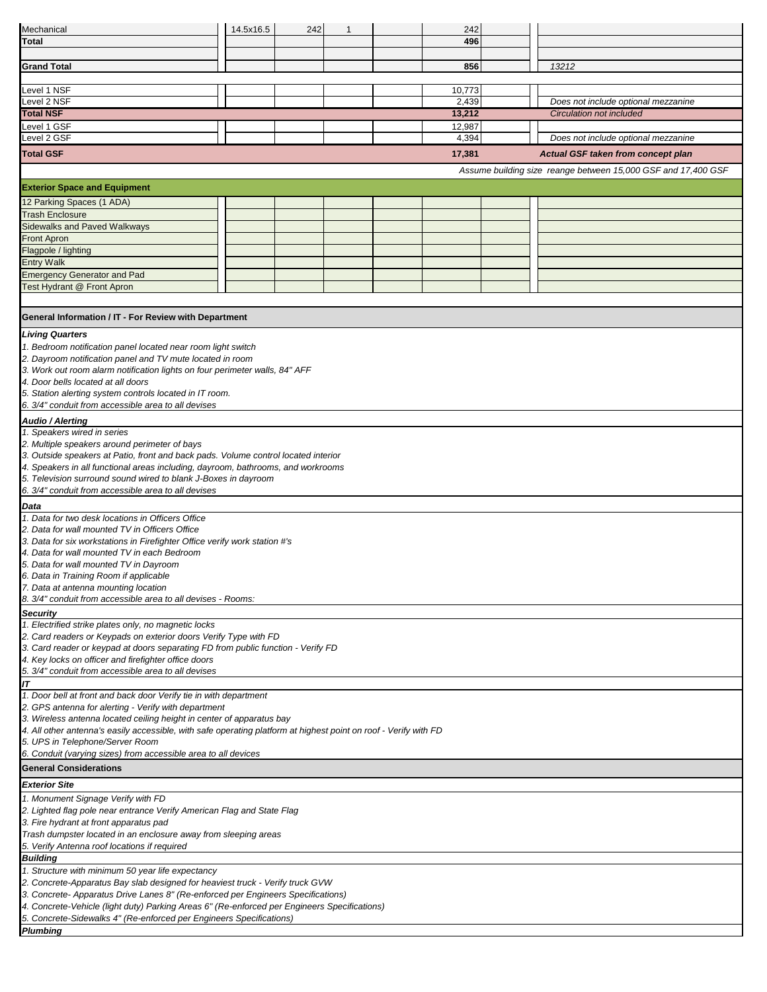| Mechanical                                                                                                                   | 14.5x16.5                                                    | 242 | $\mathbf{1}$ |  | 242              |  |                                                               |  |  |  |  |  |
|------------------------------------------------------------------------------------------------------------------------------|--------------------------------------------------------------|-----|--------------|--|------------------|--|---------------------------------------------------------------|--|--|--|--|--|
| Total                                                                                                                        |                                                              |     |              |  | 496              |  |                                                               |  |  |  |  |  |
|                                                                                                                              |                                                              |     |              |  |                  |  |                                                               |  |  |  |  |  |
| <b>Grand Total</b>                                                                                                           |                                                              |     |              |  | 856              |  | 13212                                                         |  |  |  |  |  |
|                                                                                                                              |                                                              |     |              |  |                  |  |                                                               |  |  |  |  |  |
| Level 1 NSF                                                                                                                  |                                                              |     |              |  | 10,773           |  |                                                               |  |  |  |  |  |
| Level 2 NSF<br><b>Total NSF</b>                                                                                              |                                                              |     |              |  | 2,439            |  | Does not include optional mezzanine                           |  |  |  |  |  |
| Level 1 GSF                                                                                                                  |                                                              |     |              |  | 13,212<br>12,987 |  | Circulation not included                                      |  |  |  |  |  |
| Level 2 GSF                                                                                                                  |                                                              |     |              |  | 4,394            |  | Does not include optional mezzanine                           |  |  |  |  |  |
| <b>Total GSF</b>                                                                                                             |                                                              |     |              |  | 17,381           |  |                                                               |  |  |  |  |  |
|                                                                                                                              |                                                              |     |              |  |                  |  | Actual GSF taken from concept plan                            |  |  |  |  |  |
|                                                                                                                              |                                                              |     |              |  |                  |  | Assume building size reange between 15,000 GSF and 17,400 GSF |  |  |  |  |  |
| <b>Exterior Space and Equipment</b>                                                                                          |                                                              |     |              |  |                  |  |                                                               |  |  |  |  |  |
| 12 Parking Spaces (1 ADA)                                                                                                    |                                                              |     |              |  |                  |  |                                                               |  |  |  |  |  |
| <b>Trash Enclosure</b>                                                                                                       |                                                              |     |              |  |                  |  |                                                               |  |  |  |  |  |
| <b>Sidewalks and Paved Walkways</b>                                                                                          |                                                              |     |              |  |                  |  |                                                               |  |  |  |  |  |
| <b>Front Apron</b>                                                                                                           |                                                              |     |              |  |                  |  |                                                               |  |  |  |  |  |
| Flagpole / lighting                                                                                                          |                                                              |     |              |  |                  |  |                                                               |  |  |  |  |  |
| <b>Entry Walk</b>                                                                                                            |                                                              |     |              |  |                  |  |                                                               |  |  |  |  |  |
| <b>Emergency Generator and Pad</b>                                                                                           |                                                              |     |              |  |                  |  |                                                               |  |  |  |  |  |
| Test Hydrant @ Front Apron                                                                                                   |                                                              |     |              |  |                  |  |                                                               |  |  |  |  |  |
|                                                                                                                              |                                                              |     |              |  |                  |  |                                                               |  |  |  |  |  |
| General Information / IT - For Review with Department                                                                        |                                                              |     |              |  |                  |  |                                                               |  |  |  |  |  |
| <b>Living Quarters</b>                                                                                                       |                                                              |     |              |  |                  |  |                                                               |  |  |  |  |  |
|                                                                                                                              |                                                              |     |              |  |                  |  |                                                               |  |  |  |  |  |
| 2. Dayroom notification panel and TV mute located in room                                                                    | 1. Bedroom notification panel located near room light switch |     |              |  |                  |  |                                                               |  |  |  |  |  |
| 3. Work out room alarm notification lights on four perimeter walls, 84" AFF                                                  |                                                              |     |              |  |                  |  |                                                               |  |  |  |  |  |
| 4. Door bells located at all doors                                                                                           |                                                              |     |              |  |                  |  |                                                               |  |  |  |  |  |
| 5. Station alerting system controls located in IT room.                                                                      |                                                              |     |              |  |                  |  |                                                               |  |  |  |  |  |
| 6. 3/4" conduit from accessible area to all devises                                                                          |                                                              |     |              |  |                  |  |                                                               |  |  |  |  |  |
| Audio / Alerting                                                                                                             |                                                              |     |              |  |                  |  |                                                               |  |  |  |  |  |
| 1. Speakers wired in series                                                                                                  |                                                              |     |              |  |                  |  |                                                               |  |  |  |  |  |
| 2. Multiple speakers around perimeter of bays                                                                                |                                                              |     |              |  |                  |  |                                                               |  |  |  |  |  |
| 3. Outside speakers at Patio, front and back pads. Volume control located interior                                           |                                                              |     |              |  |                  |  |                                                               |  |  |  |  |  |
| 4. Speakers in all functional areas including, dayroom, bathrooms, and workrooms                                             |                                                              |     |              |  |                  |  |                                                               |  |  |  |  |  |
| 5. Television surround sound wired to blank J-Boxes in dayroom                                                               |                                                              |     |              |  |                  |  |                                                               |  |  |  |  |  |
| 6. 3/4" conduit from accessible area to all devises                                                                          |                                                              |     |              |  |                  |  |                                                               |  |  |  |  |  |
| Data                                                                                                                         |                                                              |     |              |  |                  |  |                                                               |  |  |  |  |  |
| 1. Data for two desk locations in Officers Office                                                                            |                                                              |     |              |  |                  |  |                                                               |  |  |  |  |  |
| 2. Data for wall mounted TV in Officers Office<br>3. Data for six workstations in Firefighter Office verify work station #'s |                                                              |     |              |  |                  |  |                                                               |  |  |  |  |  |
| 4. Data for wall mounted TV in each Bedroom                                                                                  |                                                              |     |              |  |                  |  |                                                               |  |  |  |  |  |
| 5. Data for wall mounted TV in Dayroom                                                                                       |                                                              |     |              |  |                  |  |                                                               |  |  |  |  |  |
| 6. Data in Training Room if applicable                                                                                       |                                                              |     |              |  |                  |  |                                                               |  |  |  |  |  |
| 7. Data at antenna mounting location                                                                                         |                                                              |     |              |  |                  |  |                                                               |  |  |  |  |  |
| 8. 3/4" conduit from accessible area to all devises - Rooms:                                                                 |                                                              |     |              |  |                  |  |                                                               |  |  |  |  |  |
| <b>Security</b>                                                                                                              |                                                              |     |              |  |                  |  |                                                               |  |  |  |  |  |
| 1. Electrified strike plates only, no magnetic locks                                                                         |                                                              |     |              |  |                  |  |                                                               |  |  |  |  |  |
| 2. Card readers or Keypads on exterior doors Verify Type with FD                                                             |                                                              |     |              |  |                  |  |                                                               |  |  |  |  |  |
| 3. Card reader or keypad at doors separating FD from public function - Verify FD                                             |                                                              |     |              |  |                  |  |                                                               |  |  |  |  |  |
| 4. Key locks on officer and firefighter office doors<br>5. 3/4" conduit from accessible area to all devises                  |                                                              |     |              |  |                  |  |                                                               |  |  |  |  |  |
| IT                                                                                                                           |                                                              |     |              |  |                  |  |                                                               |  |  |  |  |  |
| 1. Door bell at front and back door Verify tie in with department                                                            |                                                              |     |              |  |                  |  |                                                               |  |  |  |  |  |
| 2. GPS antenna for alerting - Verify with department                                                                         |                                                              |     |              |  |                  |  |                                                               |  |  |  |  |  |
| 3. Wireless antenna located ceiling height in center of apparatus bay                                                        |                                                              |     |              |  |                  |  |                                                               |  |  |  |  |  |
| 4. All other antenna's easily accessible, with safe operating platform at highest point on roof - Verify with FD             |                                                              |     |              |  |                  |  |                                                               |  |  |  |  |  |
| 5. UPS in Telephone/Server Room                                                                                              |                                                              |     |              |  |                  |  |                                                               |  |  |  |  |  |
| 6. Conduit (varying sizes) from accessible area to all devices                                                               |                                                              |     |              |  |                  |  |                                                               |  |  |  |  |  |
| <b>General Considerations</b>                                                                                                |                                                              |     |              |  |                  |  |                                                               |  |  |  |  |  |
| <b>Exterior Site</b>                                                                                                         |                                                              |     |              |  |                  |  |                                                               |  |  |  |  |  |
| 1. Monument Signage Verify with FD                                                                                           |                                                              |     |              |  |                  |  |                                                               |  |  |  |  |  |
| 2. Lighted flag pole near entrance Verify American Flag and State Flag                                                       |                                                              |     |              |  |                  |  |                                                               |  |  |  |  |  |
| 3. Fire hydrant at front apparatus pad                                                                                       |                                                              |     |              |  |                  |  |                                                               |  |  |  |  |  |
| Trash dumpster located in an enclosure away from sleeping areas                                                              |                                                              |     |              |  |                  |  |                                                               |  |  |  |  |  |
| 5. Verify Antenna roof locations if required                                                                                 |                                                              |     |              |  |                  |  |                                                               |  |  |  |  |  |
| <b>Building</b><br>1. Structure with minimum 50 year life expectancy                                                         |                                                              |     |              |  |                  |  |                                                               |  |  |  |  |  |
| 2. Concrete-Apparatus Bay slab designed for heaviest truck - Verify truck GVW                                                |                                                              |     |              |  |                  |  |                                                               |  |  |  |  |  |
| 3. Concrete- Apparatus Drive Lanes 8" (Re-enforced per Engineers Specifications)                                             |                                                              |     |              |  |                  |  |                                                               |  |  |  |  |  |
| 4. Concrete-Vehicle (light duty) Parking Areas 6" (Re-enforced per Engineers Specifications)                                 |                                                              |     |              |  |                  |  |                                                               |  |  |  |  |  |
| 5. Concrete-Sidewalks 4" (Re-enforced per Engineers Specifications)                                                          |                                                              |     |              |  |                  |  |                                                               |  |  |  |  |  |
| <b>Plumbing</b>                                                                                                              |                                                              |     |              |  |                  |  |                                                               |  |  |  |  |  |